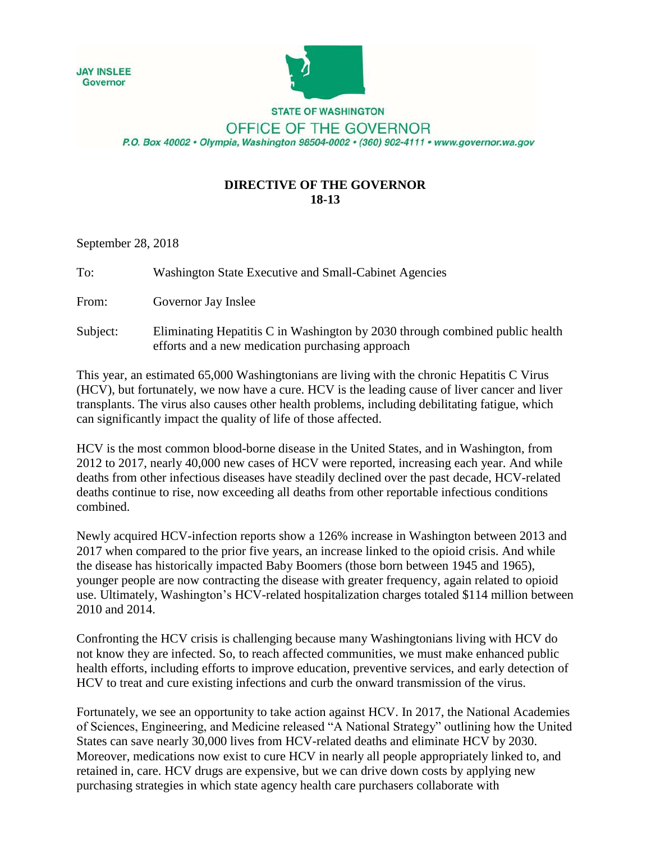



**STATE OF WASHINGTON** 

OFFICE OF THE GOVERNOR P.O. Box 40002 · Olympia, Washington 98504-0002 · (360) 902-4111 · www.governor.wa.gov

## **DIRECTIVE OF THE GOVERNOR 18-13**

September 28, 2018

| To:      | Washington State Executive and Small-Cabinet Agencies                                                                            |
|----------|----------------------------------------------------------------------------------------------------------------------------------|
| From:    | Governor Jay Inslee                                                                                                              |
| Subject: | Eliminating Hepatitis C in Washington by 2030 through combined public health<br>efforts and a new medication purchasing approach |

This year, an estimated 65,000 Washingtonians are living with the chronic Hepatitis C Virus (HCV), but fortunately, we now have a cure. HCV is the leading cause of liver cancer and liver transplants. The virus also causes other health problems, including debilitating fatigue, which can significantly impact the quality of life of those affected.

HCV is the most common blood-borne disease in the United States, and in Washington, from 2012 to 2017, nearly 40,000 new cases of HCV were reported, increasing each year. And while deaths from other infectious diseases have steadily declined over the past decade, HCV-related deaths continue to rise, now exceeding all deaths from other reportable infectious conditions combined.

Newly acquired HCV-infection reports show a 126% increase in Washington between 2013 and 2017 when compared to the prior five years, an increase linked to the opioid crisis. And while the disease has historically impacted Baby Boomers (those born between 1945 and 1965), younger people are now contracting the disease with greater frequency, again related to opioid use. Ultimately, Washington's HCV-related hospitalization charges totaled \$114 million between 2010 and 2014.

Confronting the HCV crisis is challenging because many Washingtonians living with HCV do not know they are infected. So, to reach affected communities, we must make enhanced public health efforts, including efforts to improve education, preventive services, and early detection of HCV to treat and cure existing infections and curb the onward transmission of the virus.

Fortunately, we see an opportunity to take action against HCV. In 2017, the National Academies of Sciences, Engineering, and Medicine released "A National Strategy" outlining how the United States can save nearly 30,000 lives from HCV-related deaths and eliminate HCV by 2030. Moreover, medications now exist to cure HCV in nearly all people appropriately linked to, and retained in, care. HCV drugs are expensive, but we can drive down costs by applying new purchasing strategies in which state agency health care purchasers collaborate with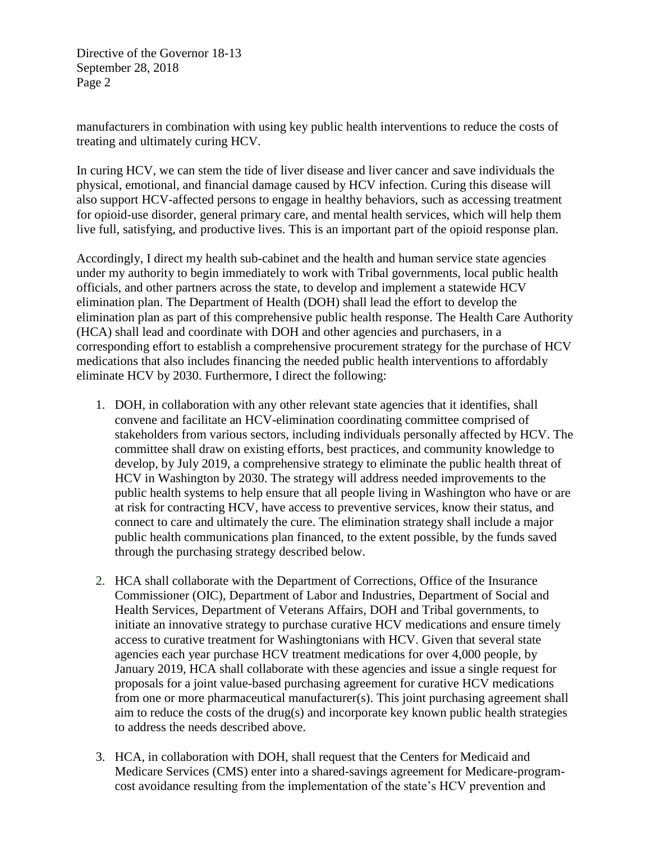Directive of the Governor 18-13 September 28, 2018 Page 2

manufacturers in combination with using key public health interventions to reduce the costs of treating and ultimately curing HCV.

In curing HCV, we can stem the tide of liver disease and liver cancer and save individuals the physical, emotional, and financial damage caused by HCV infection. Curing this disease will also support HCV-affected persons to engage in healthy behaviors, such as accessing treatment for opioid-use disorder, general primary care, and mental health services, which will help them live full, satisfying, and productive lives. This is an important part of the opioid response plan.

Accordingly, I direct my health sub-cabinet and the health and human service state agencies under my authority to begin immediately to work with Tribal governments, local public health officials, and other partners across the state, to develop and implement a statewide HCV elimination plan. The Department of Health (DOH) shall lead the effort to develop the elimination plan as part of this comprehensive public health response. The Health Care Authority (HCA) shall lead and coordinate with DOH and other agencies and purchasers, in a corresponding effort to establish a comprehensive procurement strategy for the purchase of HCV medications that also includes financing the needed public health interventions to affordably eliminate HCV by 2030. Furthermore, I direct the following:

- 1. DOH, in collaboration with any other relevant state agencies that it identifies, shall convene and facilitate an HCV-elimination coordinating committee comprised of stakeholders from various sectors, including individuals personally affected by HCV. The committee shall draw on existing efforts, best practices, and community knowledge to develop, by July 2019, a comprehensive strategy to eliminate the public health threat of HCV in Washington by 2030. The strategy will address needed improvements to the public health systems to help ensure that all people living in Washington who have or are at risk for contracting HCV, have access to preventive services, know their status, and connect to care and ultimately the cure. The elimination strategy shall include a major public health communications plan financed, to the extent possible, by the funds saved through the purchasing strategy described below.
- 2. HCA shall collaborate with the Department of Corrections, Office of the Insurance Commissioner (OIC), Department of Labor and Industries, Department of Social and Health Services, Department of Veterans Affairs, DOH and Tribal governments, to initiate an innovative strategy to purchase curative HCV medications and ensure timely access to curative treatment for Washingtonians with HCV. Given that several state agencies each year purchase HCV treatment medications for over 4,000 people, by January 2019, HCA shall collaborate with these agencies and issue a single request for proposals for a joint value-based purchasing agreement for curative HCV medications from one or more pharmaceutical manufacturer(s). This joint purchasing agreement shall aim to reduce the costs of the drug(s) and incorporate key known public health strategies to address the needs described above.
- 3. HCA, in collaboration with DOH, shall request that the Centers for Medicaid and Medicare Services (CMS) enter into a shared-savings agreement for Medicare-programcost avoidance resulting from the implementation of the state's HCV prevention and